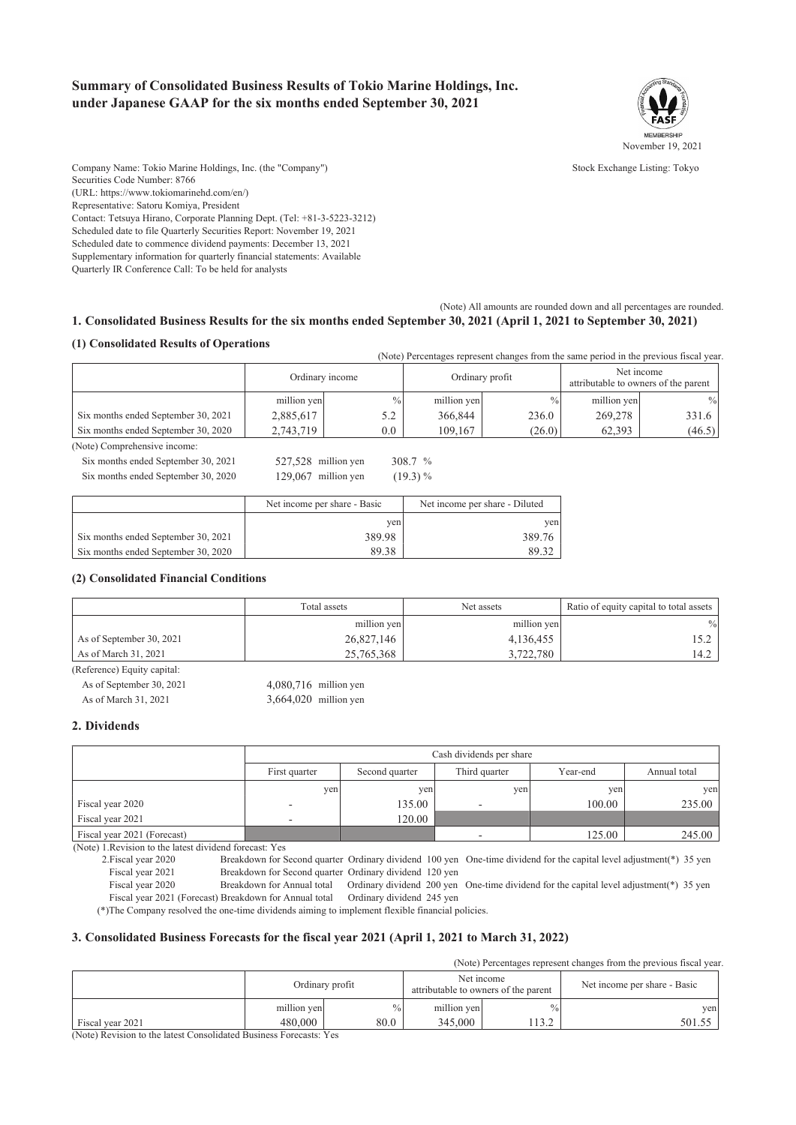### Summary of Consolidated Business Results of Tokio Marine Holdings, Inc. under Japanese GAAP for the six months ended September 30, 2021



Stock Exchange Listing: Tokyo

Company Name: Tokio Marine Holdings, Inc. (the "Company") Securities Code Number: 8766 (URL: https://www.tokiomarinehd.com/en/) Representative: Satoru Komiya, President Contact: Tetsuva Hirano, Corporate Planning Dept. (Tel: +81-3-5223-3212) Scheduled date to file Quarterly Securities Report: November 19, 2021 Scheduled date to commence dividend payments: December 13, 2021 Supplementary information for quarterly financial statements: Available Quarterly IR Conference Call: To be held for analysts

1. Consolidated Business Results for the six months ended September 30, 2021 (April 1, 2021 to September 30, 2021)

(Note) All amounts are rounded down and all percentages are rounded.

### (1) Consolidated Results of Operations

| (Note) Percentages represent changes from the same period in the previous fiscal year |                 |               |                 |               |                                                    |        |
|---------------------------------------------------------------------------------------|-----------------|---------------|-----------------|---------------|----------------------------------------------------|--------|
|                                                                                       | Ordinary income |               | Ordinary profit |               | Net income<br>attributable to owners of the parent |        |
|                                                                                       | million yen     | $\frac{0}{0}$ | million yen     | $\frac{0}{0}$ | million yen                                        | $\%$   |
| Six months ended September 30, 2021                                                   | 2,885,617       | 5.2           | 366,844         | 236.0         | 269,278                                            | 331.6  |
| Six months ended September 30, 2020                                                   | 2,743,719       | $0.0\,$       | 109.167         | (26.0)        | 62.393                                             | (46.5) |

308.7 %

 $(19.3) %$ 

(Note) Comprehensive income:

Six months ended September 30, 2021 527,528 million yen Six months ended September 30, 2020 129,067 million yen

|                                     | Net income per share - Basic | Net income per share - Diluted |
|-------------------------------------|------------------------------|--------------------------------|
|                                     | ven                          | ven                            |
| Six months ended September 30, 2021 | 389.98                       | 389.76                         |
| Six months ended September 30, 2020 | 89.38                        | 89.30                          |

### (2) Consolidated Financial Conditions

|                          | Total assets | Net assets  | Ratio of equity capital to total assets |
|--------------------------|--------------|-------------|-----------------------------------------|
|                          | million yen  | million yen | $\%$                                    |
| As of September 30, 2021 | 26,827,146   | 4,136,455   |                                         |
| As of March 31, 2021     | 25,765,368   | 3,722,780   | 14.2                                    |

(Reference) Equity capital:

As of September 30, 2021 4,080,716 million yen As of March 31, 2021 3,664,020 million yen

### 2. Dividends

|                             | Cash dividends per share |                |               |          |              |  |
|-----------------------------|--------------------------|----------------|---------------|----------|--------------|--|
|                             | First quarter            | Second quarter | Third quarter | Year-end | Annual total |  |
|                             | yen                      | ven            | yen           | ven      | yen          |  |
| Fiscal year 2020            | $-$                      | 135.00         | -             | 100.00   | 235.00       |  |
| Fiscal year 2021            | -                        | 120.00         |               |          |              |  |
| Fiscal year 2021 (Forecast) |                          |                | -             | 125.00   | 245.00       |  |

(Note) 1. Revision to the latest dividend forecast: Yes

2. Fiscal year 2020 Breakdown for Second quarter Ordinary dividend 100 yen One-time dividend for the capital level adjustment(\*) 35 yen Fiscal year 2021 Breakdown for Second quarter Ordinary dividend 120 yen

Fiscal year 2020 Breakdown for Annual total Ordinary dividend 200 yen One-time dividend for the capital level adjustment(\*) 35 yen Fiscal year 2021 (Forecast) Breakdown for Annual total Ordinary dividend 245 yen

(\*) The Company resolved the one-time dividends aiming to implement flexible financial policies.

#### 3. Consolidated Business Forecasts for the fiscal year 2021 (April 1, 2021 to March 31, 2022)

(Note) Percentages represent changes from the previous fiscal year.

|                  |             | Ordinary profit | Net income<br>attributable to owners of the parent |               | Net income per share - Basic |
|------------------|-------------|-----------------|----------------------------------------------------|---------------|------------------------------|
|                  | million yen | $\frac{0}{0}$   | million yen                                        | $\frac{0}{0}$ | ven                          |
| Fiscal year 2021 | 480,000     | 80.0            | 345,000                                            | ے دل ا        | 501.55                       |

(Note) Revision to the latest Consolidated Business Forecasts: Yes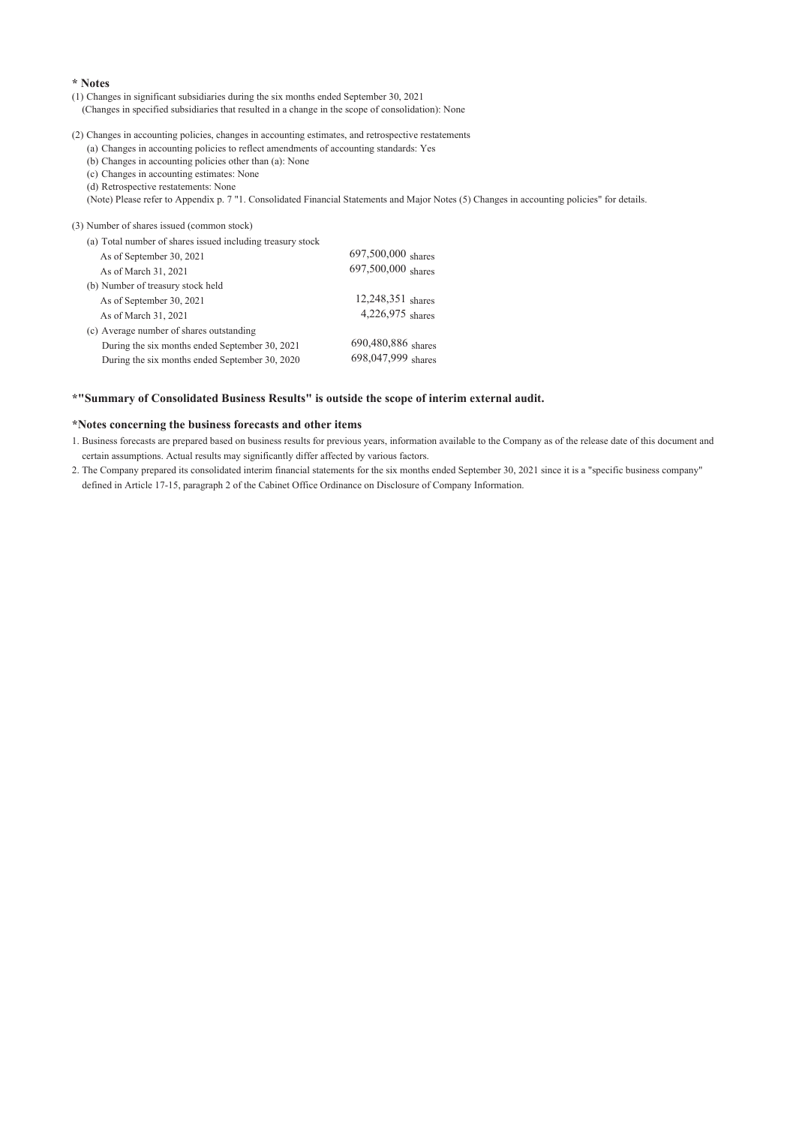### \* Notes

(1) Changes in significant subsidiaries during the six months ended September 30, 2021

- (Changes in specified subsidiaries that resulted in a change in the scope of consolidation): None
- (2) Changes in accounting policies, changes in accounting estimates, and retrospective restatements
	- (a) Changes in accounting policies to reflect amendments of accounting standards: Yes
	- (b) Changes in accounting policies other than (a): None
	- (c) Changes in accounting estimates: None

(d) Retrospective restatements: None

(Note) Please refer to Appendix p. 7 "1. Consolidated Financial Statements and Major Notes (5) Changes in accounting policies" for details.

(3) Number of shares issued (common stock)

| (a) Total number of shares issued including treasury stock |                      |
|------------------------------------------------------------|----------------------|
| As of September 30, 2021                                   | $697,500,000$ shares |
| As of March 31, 2021                                       | $697,500,000$ shares |
| (b) Number of treasury stock held                          |                      |
| As of September 30, 2021                                   | $12,248,351$ shares  |
| As of March 31, 2021                                       | $4,226,975$ shares   |
| (c) Average number of shares outstanding                   |                      |
| During the six months ended September 30, 2021             | 690,480,886 shares   |
| During the six months ended September 30, 2020             | 698,047,999 shares   |
|                                                            |                      |

#### \*"Summary of Consolidated Business Results" is outside the scope of interim external audit.

#### \*Notes concerning the business forecasts and other items

- 1. Business forecasts are prepared based on business results for previous years, information available to the Company as of the release date of this document and certain assumptions. Actual results may significantly differ affected by various factors.
- 2. The Company prepared its consolidated interim financial statements for the six months ended September 30, 2021 since it is a "specific business company" defined in Article 17-15, paragraph 2 of the Cabinet Office Ordinance on Disclosure of Company Information.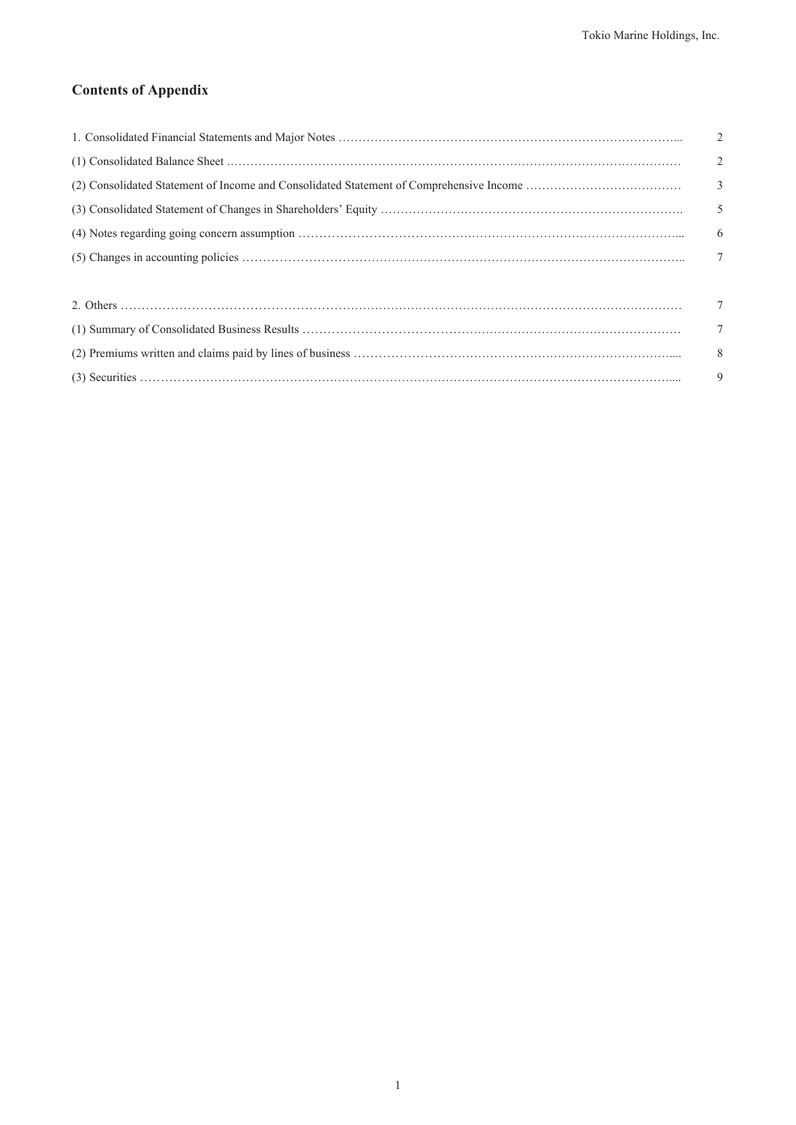# **Contents of Appendix**

| $\overline{2}$           |
|--------------------------|
| $\overline{2}$           |
| $\overline{\phantom{a}}$ |
| $\overline{5}$           |
| - 6                      |
| $\overline{7}$           |
|                          |
| $\overline{7}$           |
| $\overline{7}$           |
| 8                        |
| 9                        |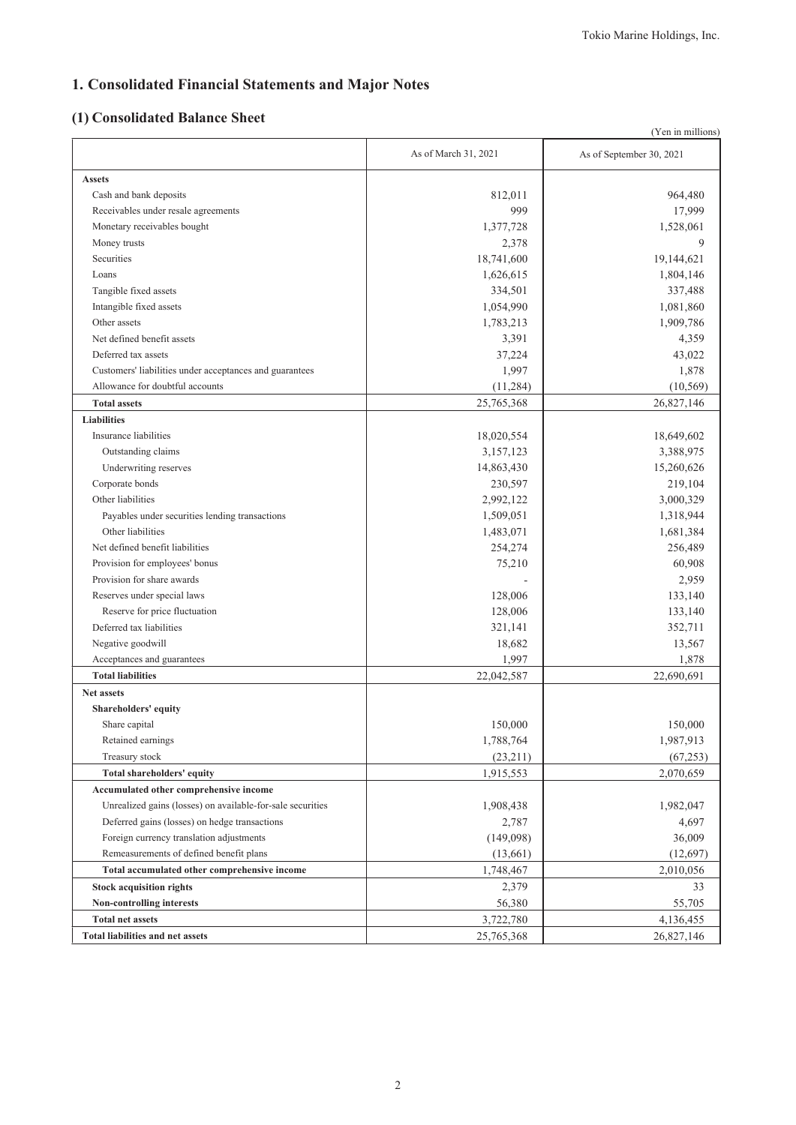# 1. Consolidated Financial Statements and Major Notes

# (1) Consolidated Balance Sheet

|                                                            |                      | (Yen in millions)        |
|------------------------------------------------------------|----------------------|--------------------------|
|                                                            | As of March 31, 2021 | As of September 30, 2021 |
| <b>Assets</b>                                              |                      |                          |
| Cash and bank deposits                                     | 812,011              | 964,480                  |
| Receivables under resale agreements                        | 999                  | 17,999                   |
| Monetary receivables bought                                | 1,377,728            | 1,528,061                |
| Money trusts                                               | 2,378                | 9                        |
| Securities                                                 | 18,741,600           | 19,144,621               |
| Loans                                                      | 1,626,615            | 1,804,146                |
| Tangible fixed assets                                      | 334,501              | 337,488                  |
| Intangible fixed assets                                    | 1,054,990            | 1,081,860                |
| Other assets                                               | 1,783,213            | 1,909,786                |
| Net defined benefit assets                                 | 3,391                | 4,359                    |
| Deferred tax assets                                        | 37,224               | 43,022                   |
| Customers' liabilities under acceptances and guarantees    | 1,997                | 1,878                    |
| Allowance for doubtful accounts                            | (11,284)             | (10, 569)                |
| <b>Total assets</b>                                        | 25,765,368           | 26,827,146               |
| <b>Liabilities</b>                                         |                      |                          |
| Insurance liabilities                                      | 18,020,554           | 18,649,602               |
| Outstanding claims                                         | 3,157,123            | 3,388,975                |
| Underwriting reserves                                      | 14,863,430           | 15,260,626               |
| Corporate bonds                                            | 230,597              | 219,104                  |
| Other liabilities                                          | 2,992,122            | 3,000,329                |
| Payables under securities lending transactions             | 1,509,051            | 1,318,944                |
| Other liabilities                                          | 1,483,071            | 1,681,384                |
| Net defined benefit liabilities                            | 254,274              | 256,489                  |
| Provision for employees' bonus                             | 75,210               | 60,908                   |
| Provision for share awards                                 |                      |                          |
|                                                            |                      | 2,959                    |
| Reserves under special laws                                | 128,006              | 133,140                  |
| Reserve for price fluctuation                              | 128,006              | 133,140                  |
| Deferred tax liabilities                                   | 321,141              | 352,711                  |
| Negative goodwill                                          | 18,682               | 13,567                   |
| Acceptances and guarantees                                 | 1,997                | 1,878                    |
| <b>Total liabilities</b>                                   | 22,042,587           | 22,690,691               |
| <b>Net assets</b>                                          |                      |                          |
| Shareholders' equity                                       |                      |                          |
| Share capital                                              | 150,000              | 150,000                  |
| Retained earnings                                          | 1,788,764            | 1,987,913                |
| Treasury stock                                             | (23,211)             | (67, 253)                |
| Total shareholders' equity                                 | 1,915,553            | 2,070,659                |
| Accumulated other comprehensive income                     |                      |                          |
| Unrealized gains (losses) on available-for-sale securities | 1,908,438            | 1,982,047                |
| Deferred gains (losses) on hedge transactions              | 2,787                | 4,697                    |
| Foreign currency translation adjustments                   | (149,098)            | 36,009                   |
| Remeasurements of defined benefit plans                    | (13,661)             | (12, 697)                |
| Total accumulated other comprehensive income               | 1,748,467            | 2,010,056                |
| <b>Stock acquisition rights</b>                            | 2,379                | 33                       |
| Non-controlling interests                                  | 56,380               | 55,705                   |
| <b>Total net assets</b>                                    | 3,722,780            | 4,136,455                |
| <b>Total liabilities and net assets</b>                    | 25,765,368           | 26,827,146               |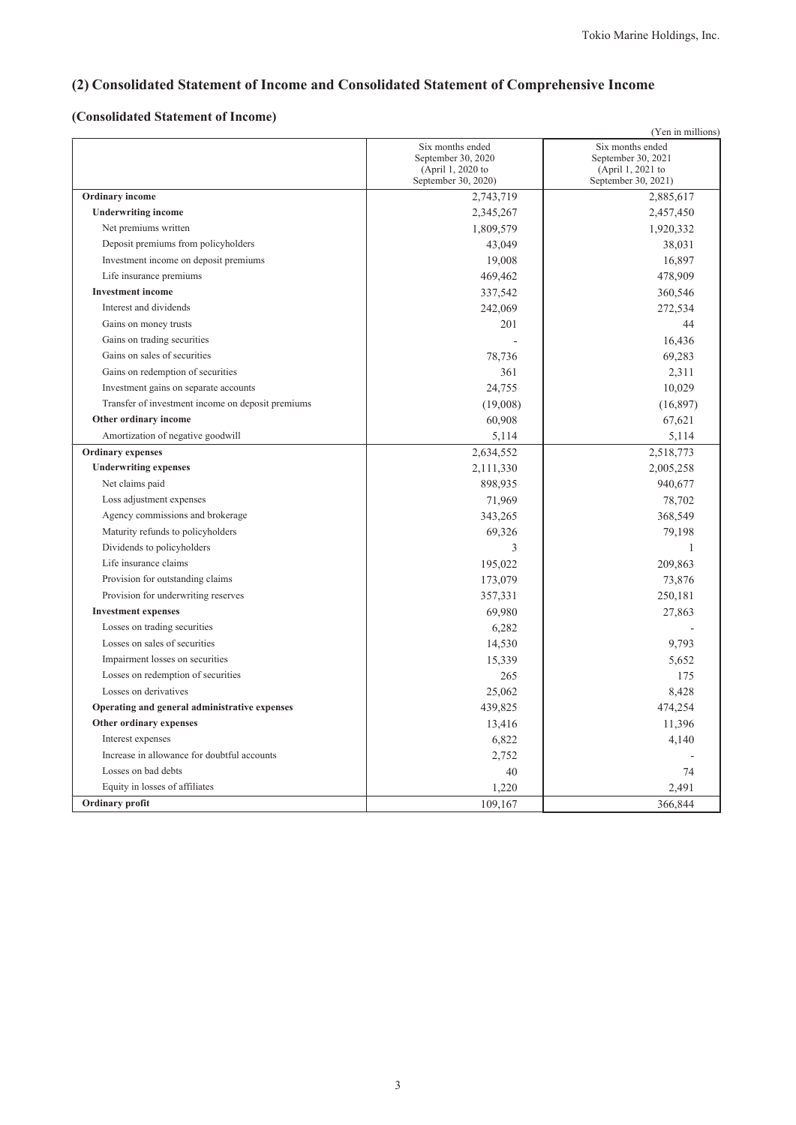# (2) Consolidated Statement of Income and Consolidated Statement of Comprehensive Income

### (Consolidated Statement of Income)

| (Yen in millions)                                 |                                                                                    |                                                                                    |  |
|---------------------------------------------------|------------------------------------------------------------------------------------|------------------------------------------------------------------------------------|--|
|                                                   | Six months ended<br>September 30, 2020<br>(April 1, 2020 to<br>September 30, 2020) | Six months ended<br>September 30, 2021<br>(April 1, 2021 to<br>September 30, 2021) |  |
| <b>Ordinary</b> income                            | 2,743,719                                                                          | 2,885,617                                                                          |  |
| <b>Underwriting income</b>                        | 2,345,267                                                                          | 2,457,450                                                                          |  |
| Net premiums written                              | 1,809,579                                                                          | 1,920,332                                                                          |  |
| Deposit premiums from policyholders               | 43,049                                                                             | 38,031                                                                             |  |
| Investment income on deposit premiums             | 19,008                                                                             | 16,897                                                                             |  |
| Life insurance premiums                           | 469,462                                                                            | 478,909                                                                            |  |
| <b>Investment</b> income                          | 337,542                                                                            | 360,546                                                                            |  |
| Interest and dividends                            | 242,069                                                                            | 272,534                                                                            |  |
| Gains on money trusts                             | 201                                                                                | 44                                                                                 |  |
| Gains on trading securities                       |                                                                                    | 16,436                                                                             |  |
| Gains on sales of securities                      | 78,736                                                                             | 69,283                                                                             |  |
| Gains on redemption of securities                 | 361                                                                                | 2,311                                                                              |  |
| Investment gains on separate accounts             | 24,755                                                                             | 10,029                                                                             |  |
| Transfer of investment income on deposit premiums | (19,008)                                                                           | (16, 897)                                                                          |  |
| Other ordinary income                             | 60,908                                                                             | 67,621                                                                             |  |
| Amortization of negative goodwill                 | 5,114                                                                              | 5,114                                                                              |  |
| <b>Ordinary expenses</b>                          | 2,634,552                                                                          | 2,518,773                                                                          |  |
| <b>Underwriting expenses</b>                      | 2,111,330                                                                          | 2,005,258                                                                          |  |
| Net claims paid                                   | 898,935                                                                            | 940,677                                                                            |  |
| Loss adjustment expenses                          | 71,969                                                                             | 78,702                                                                             |  |
| Agency commissions and brokerage                  | 343,265                                                                            | 368,549                                                                            |  |
| Maturity refunds to policyholders                 | 69,326                                                                             | 79,198                                                                             |  |
| Dividends to policyholders                        | 3                                                                                  | $\mathbf{1}$                                                                       |  |
| Life insurance claims                             | 195,022                                                                            | 209,863                                                                            |  |
| Provision for outstanding claims                  | 173,079                                                                            | 73,876                                                                             |  |
| Provision for underwriting reserves               | 357,331                                                                            | 250,181                                                                            |  |
| <b>Investment expenses</b>                        | 69,980                                                                             | 27,863                                                                             |  |
| Losses on trading securities                      | 6,282                                                                              |                                                                                    |  |
| Losses on sales of securities                     | 14,530                                                                             | 9.793                                                                              |  |
| Impairment losses on securities                   | 15,339                                                                             | 5.652                                                                              |  |
| Losses on redemption of securities                | 265                                                                                | 175                                                                                |  |
| Losses on derivatives                             | 25,062                                                                             | 8,428                                                                              |  |
| Operating and general administrative expenses     | 439,825                                                                            | 474,254                                                                            |  |
| Other ordinary expenses                           | 13,416                                                                             | 11,396                                                                             |  |
| Interest expenses                                 | 6,822                                                                              | 4,140                                                                              |  |
| Increase in allowance for doubtful accounts       | 2,752                                                                              |                                                                                    |  |
| Losses on bad debts                               | 40                                                                                 | 74                                                                                 |  |
| Equity in losses of affiliates                    | 1,220                                                                              | 2,491                                                                              |  |
| Ordinary profit                                   | 109,167                                                                            | 366,844                                                                            |  |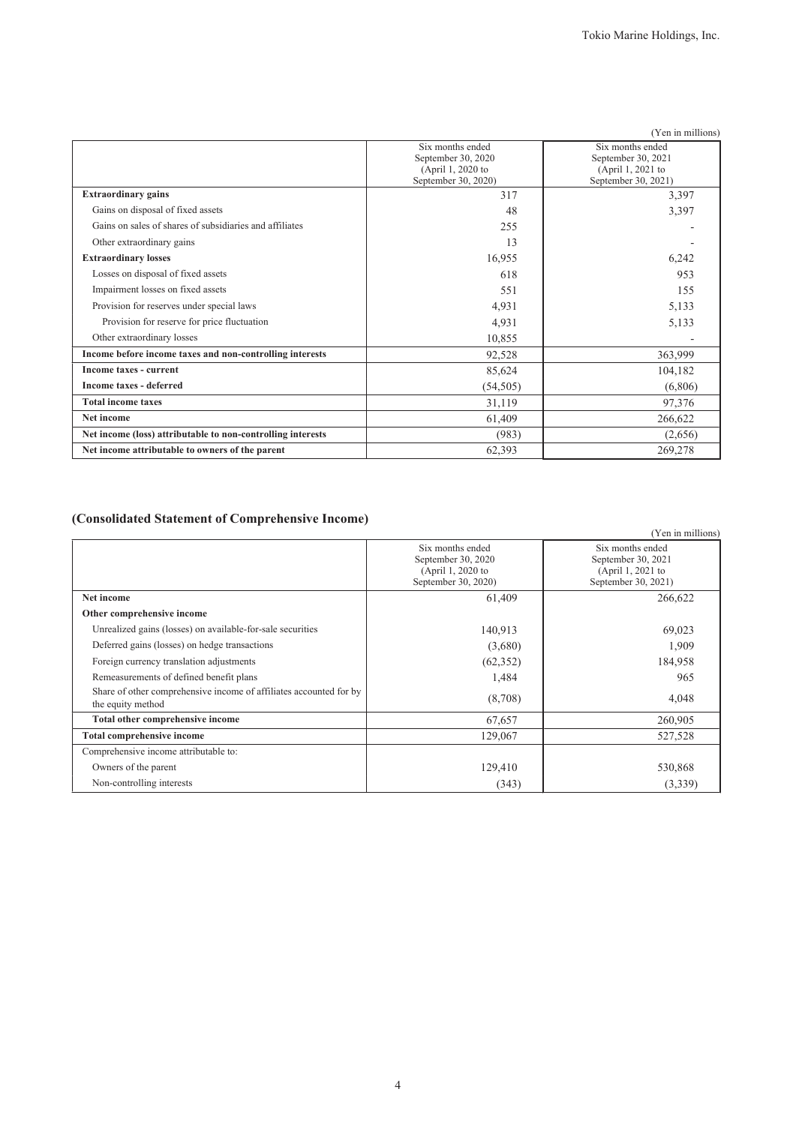|                                                             |                                         | (Yen in millions)                       |
|-------------------------------------------------------------|-----------------------------------------|-----------------------------------------|
|                                                             | Six months ended                        | Six months ended                        |
|                                                             | September 30, 2020<br>(April 1, 2020 to | September 30, 2021<br>(April 1, 2021 to |
|                                                             | September 30, 2020)                     | September 30, 2021)                     |
| <b>Extraordinary gains</b>                                  | 317                                     | 3,397                                   |
| Gains on disposal of fixed assets                           | 48                                      | 3,397                                   |
| Gains on sales of shares of subsidiaries and affiliates     | 255                                     |                                         |
| Other extraordinary gains                                   | 13                                      |                                         |
| <b>Extraordinary losses</b>                                 | 16,955                                  | 6,242                                   |
| Losses on disposal of fixed assets                          | 618                                     | 953                                     |
| Impairment losses on fixed assets                           | 551                                     | 155                                     |
| Provision for reserves under special laws                   | 4,931                                   | 5,133                                   |
| Provision for reserve for price fluctuation                 | 4,931                                   | 5,133                                   |
| Other extraordinary losses                                  | 10,855                                  |                                         |
| Income before income taxes and non-controlling interests    | 92,528                                  | 363,999                                 |
| Income taxes - current                                      | 85,624                                  | 104,182                                 |
| Income taxes - deferred                                     | (54, 505)                               | (6,806)                                 |
| <b>Total income taxes</b>                                   | 31,119                                  | 97,376                                  |
| Net income                                                  | 61,409                                  | 266,622                                 |
| Net income (loss) attributable to non-controlling interests | (983)                                   | (2,656)                                 |
| Net income attributable to owners of the parent             | 62,393                                  | 269,278                                 |

# (Consolidated Statement of Comprehensive Income)

|                                                                                         |                                                                                    | (Yen in millions)                                                                  |
|-----------------------------------------------------------------------------------------|------------------------------------------------------------------------------------|------------------------------------------------------------------------------------|
|                                                                                         | Six months ended<br>September 30, 2020<br>(April 1, 2020 to<br>September 30, 2020) | Six months ended<br>September 30, 2021<br>(April 1, 2021 to<br>September 30, 2021) |
| Net income                                                                              | 61,409                                                                             | 266,622                                                                            |
| Other comprehensive income                                                              |                                                                                    |                                                                                    |
| Unrealized gains (losses) on available-for-sale securities                              | 140,913                                                                            | 69,023                                                                             |
| Deferred gains (losses) on hedge transactions                                           | (3,680)                                                                            | 1,909                                                                              |
| Foreign currency translation adjustments                                                | (62, 352)                                                                          | 184,958                                                                            |
| Remeasurements of defined benefit plans                                                 | 1,484                                                                              | 965                                                                                |
| Share of other comprehensive income of affiliates accounted for by<br>the equity method | (8,708)                                                                            | 4,048                                                                              |
| Total other comprehensive income                                                        | 67,657                                                                             | 260,905                                                                            |
| <b>Total comprehensive income</b>                                                       | 129,067                                                                            | 527,528                                                                            |
| Comprehensive income attributable to:                                                   |                                                                                    |                                                                                    |
| Owners of the parent                                                                    | 129,410                                                                            | 530,868                                                                            |
| Non-controlling interests                                                               | (343)                                                                              | (3,339)                                                                            |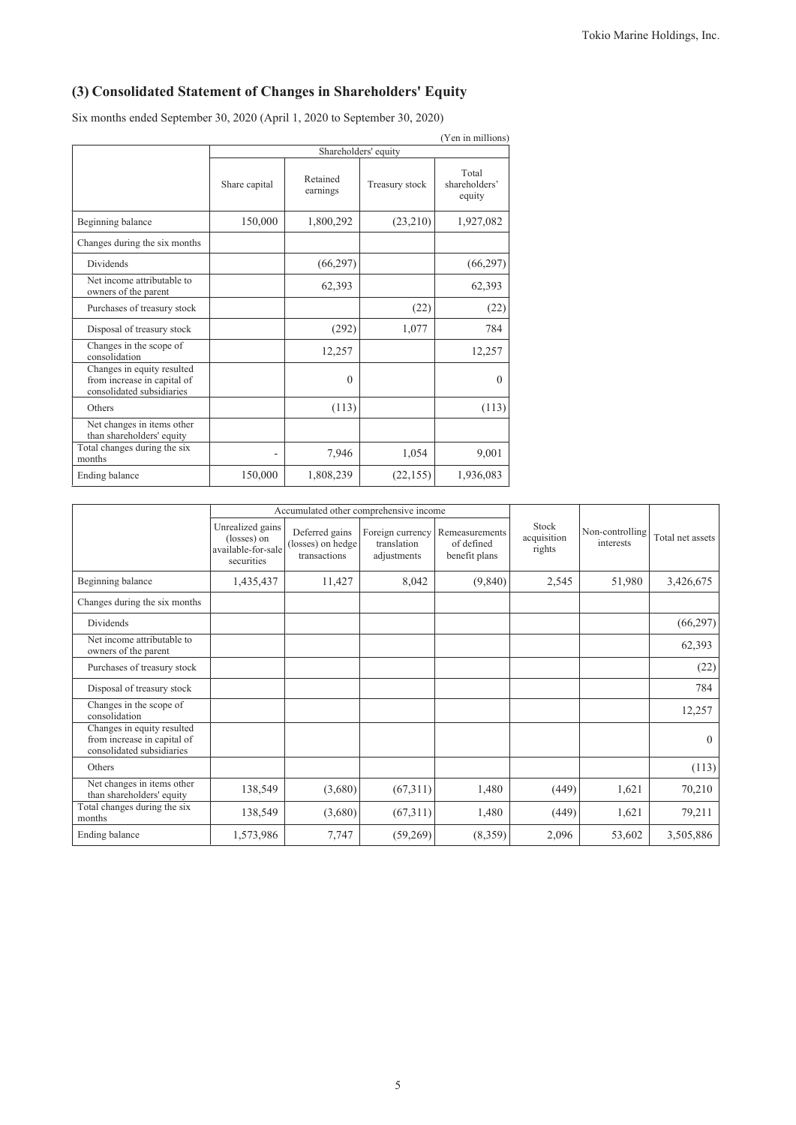# (3) Consolidated Statement of Changes in Shareholders' Equity

Six months ended September 30, 2020 (April 1, 2020 to September 30, 2020)

|                                                                                        |                      |                      |                | (Yen in millions)                |  |
|----------------------------------------------------------------------------------------|----------------------|----------------------|----------------|----------------------------------|--|
|                                                                                        | Shareholders' equity |                      |                |                                  |  |
|                                                                                        | Share capital        | Retained<br>earnings | Treasury stock | Total<br>shareholders'<br>equity |  |
| Beginning balance                                                                      | 150,000              | 1,800,292            | (23,210)       | 1,927,082                        |  |
| Changes during the six months                                                          |                      |                      |                |                                  |  |
| Dividends                                                                              |                      | (66,297)             |                | (66, 297)                        |  |
| Net income attributable to<br>owners of the parent                                     |                      | 62,393               |                | 62,393                           |  |
| Purchases of treasury stock                                                            |                      |                      | (22)           | (22)                             |  |
| Disposal of treasury stock                                                             |                      | (292)                | 1,077          | 784                              |  |
| Changes in the scope of<br>consolidation                                               |                      | 12,257               |                | 12,257                           |  |
| Changes in equity resulted<br>from increase in capital of<br>consolidated subsidiaries |                      | $\Omega$             |                | $\Omega$                         |  |
| Others                                                                                 |                      | (113)                |                | (113)                            |  |
| Net changes in items other<br>than shareholders' equity                                |                      |                      |                |                                  |  |
| Total changes during the six<br>months                                                 |                      | 7,946                | 1,054          | 9,001                            |  |
| Ending balance                                                                         | 150,000              | 1,808,239            | (22, 155)      | 1,936,083                        |  |

|                                                                                        |                                                                     | Accumulated other comprehensive income              |                                                |                                               |                                |                              |                  |
|----------------------------------------------------------------------------------------|---------------------------------------------------------------------|-----------------------------------------------------|------------------------------------------------|-----------------------------------------------|--------------------------------|------------------------------|------------------|
|                                                                                        | Unrealized gains<br>(losses) on<br>available-for-sale<br>securities | Deferred gains<br>(losses) on hedge<br>transactions | Foreign currency<br>translation<br>adjustments | Remeasurements<br>of defined<br>benefit plans | Stock<br>acquisition<br>rights | Non-controlling<br>interests | Total net assets |
| Beginning balance                                                                      | 1,435,437                                                           | 11,427                                              | 8,042                                          | (9,840)                                       | 2,545                          | 51,980                       | 3,426,675        |
| Changes during the six months                                                          |                                                                     |                                                     |                                                |                                               |                                |                              |                  |
| Dividends                                                                              |                                                                     |                                                     |                                                |                                               |                                |                              | (66, 297)        |
| Net income attributable to<br>owners of the parent                                     |                                                                     |                                                     |                                                |                                               |                                |                              | 62,393           |
| Purchases of treasury stock                                                            |                                                                     |                                                     |                                                |                                               |                                |                              | (22)             |
| Disposal of treasury stock                                                             |                                                                     |                                                     |                                                |                                               |                                |                              | 784              |
| Changes in the scope of<br>consolidation                                               |                                                                     |                                                     |                                                |                                               |                                |                              | 12,257           |
| Changes in equity resulted<br>from increase in capital of<br>consolidated subsidiaries |                                                                     |                                                     |                                                |                                               |                                |                              | $\Omega$         |
| Others                                                                                 |                                                                     |                                                     |                                                |                                               |                                |                              | (113)            |
| Net changes in items other<br>than shareholders' equity                                | 138,549                                                             | (3,680)                                             | (67,311)                                       | 1,480                                         | (449)                          | 1,621                        | 70,210           |
| Total changes during the six<br>months                                                 | 138,549                                                             | (3,680)                                             | (67,311)                                       | 1,480                                         | (449)                          | 1,621                        | 79,211           |
| Ending balance                                                                         | 1,573,986                                                           | 7,747                                               | (59,269)                                       | (8,359)                                       | 2,096                          | 53,602                       | 3,505,886        |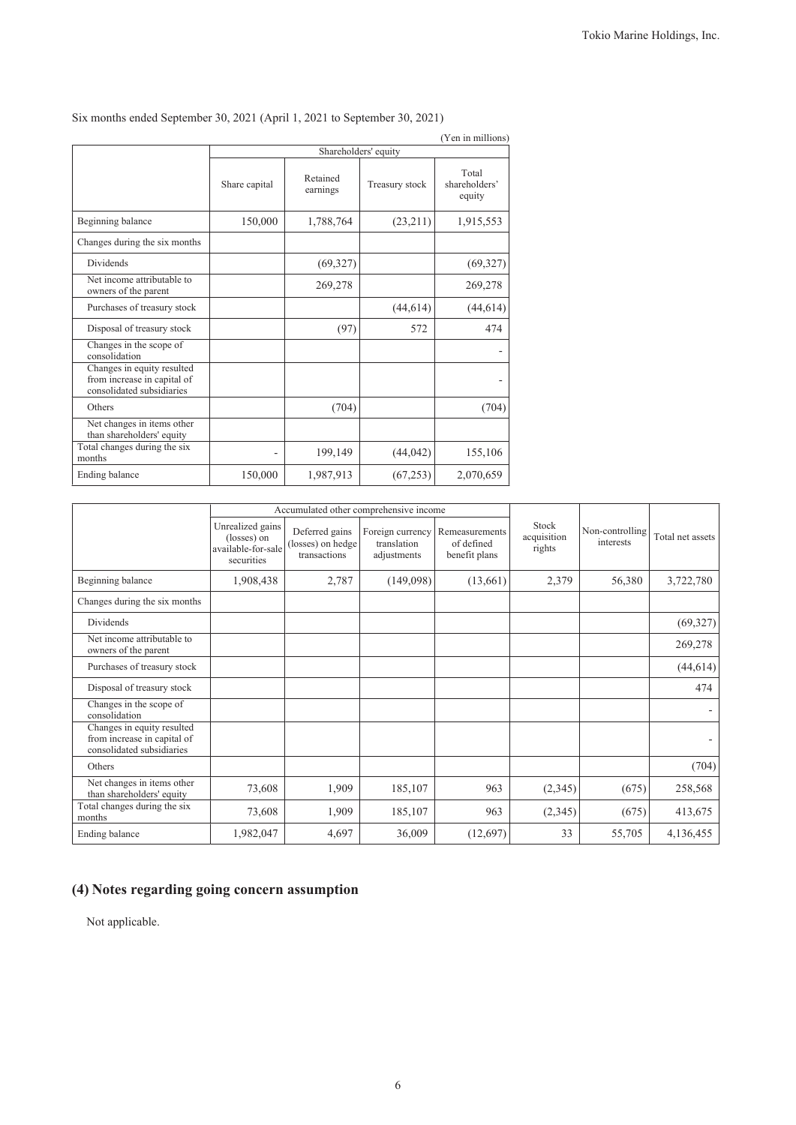|                                                                                        |                      |                      |                | (Yen in millions)                |  |  |  |
|----------------------------------------------------------------------------------------|----------------------|----------------------|----------------|----------------------------------|--|--|--|
|                                                                                        | Shareholders' equity |                      |                |                                  |  |  |  |
|                                                                                        | Share capital        | Retained<br>earnings | Treasury stock | Total<br>shareholders'<br>equity |  |  |  |
| Beginning balance                                                                      | 150,000              | 1,788,764            | (23,211)       | 1,915,553                        |  |  |  |
| Changes during the six months                                                          |                      |                      |                |                                  |  |  |  |
| Dividends                                                                              |                      | (69, 327)            |                | (69, 327)                        |  |  |  |
| Net income attributable to<br>owners of the parent                                     |                      | 269,278              |                | 269,278                          |  |  |  |
| Purchases of treasury stock                                                            |                      |                      | (44, 614)      | (44, 614)                        |  |  |  |
| Disposal of treasury stock                                                             |                      | (97)                 | 572            | 474                              |  |  |  |
| Changes in the scope of<br>consolidation                                               |                      |                      |                |                                  |  |  |  |
| Changes in equity resulted<br>from increase in capital of<br>consolidated subsidiaries |                      |                      |                |                                  |  |  |  |
| Others                                                                                 |                      | (704)                |                | (704)                            |  |  |  |
| Net changes in items other<br>than shareholders' equity                                |                      |                      |                |                                  |  |  |  |
| Total changes during the six<br>months                                                 |                      | 199,149              | (44, 042)      | 155,106                          |  |  |  |
| Ending balance                                                                         | 150,000              | 1,987,913            | (67, 253)      | 2,070,659                        |  |  |  |

Six months ended September 30, 2021 (April 1, 2021 to September 30, 2021)

|                                                                                        |                                                                     | Accumulated other comprehensive income              |                                                |                                               |                                |                              |                  |
|----------------------------------------------------------------------------------------|---------------------------------------------------------------------|-----------------------------------------------------|------------------------------------------------|-----------------------------------------------|--------------------------------|------------------------------|------------------|
|                                                                                        | Unrealized gains<br>(losses) on<br>available-for-sale<br>securities | Deferred gains<br>(losses) on hedge<br>transactions | Foreign currency<br>translation<br>adjustments | Remeasurements<br>of defined<br>benefit plans | Stock<br>acquisition<br>rights | Non-controlling<br>interests | Total net assets |
| Beginning balance                                                                      | 1,908,438                                                           | 2,787                                               | (149,098)                                      | (13,661)                                      | 2,379                          | 56,380                       | 3,722,780        |
| Changes during the six months                                                          |                                                                     |                                                     |                                                |                                               |                                |                              |                  |
| <b>Dividends</b>                                                                       |                                                                     |                                                     |                                                |                                               |                                |                              | (69, 327)        |
| Net income attributable to<br>owners of the parent                                     |                                                                     |                                                     |                                                |                                               |                                |                              | 269,278          |
| Purchases of treasury stock                                                            |                                                                     |                                                     |                                                |                                               |                                |                              | (44, 614)        |
| Disposal of treasury stock                                                             |                                                                     |                                                     |                                                |                                               |                                |                              | 474              |
| Changes in the scope of<br>consolidation                                               |                                                                     |                                                     |                                                |                                               |                                |                              |                  |
| Changes in equity resulted<br>from increase in capital of<br>consolidated subsidiaries |                                                                     |                                                     |                                                |                                               |                                |                              |                  |
| Others                                                                                 |                                                                     |                                                     |                                                |                                               |                                |                              | (704)            |
| Net changes in items other<br>than shareholders' equity                                | 73,608                                                              | 1,909                                               | 185,107                                        | 963                                           | (2,345)                        | (675)                        | 258,568          |
| Total changes during the six<br>months                                                 | 73,608                                                              | 1,909                                               | 185,107                                        | 963                                           | (2,345)                        | (675)                        | 413,675          |
| Ending balance                                                                         | 1,982,047                                                           | 4,697                                               | 36,009                                         | (12,697)                                      | 33                             | 55,705                       | 4,136,455        |

# (4) Notes regarding going concern assumption

Not applicable.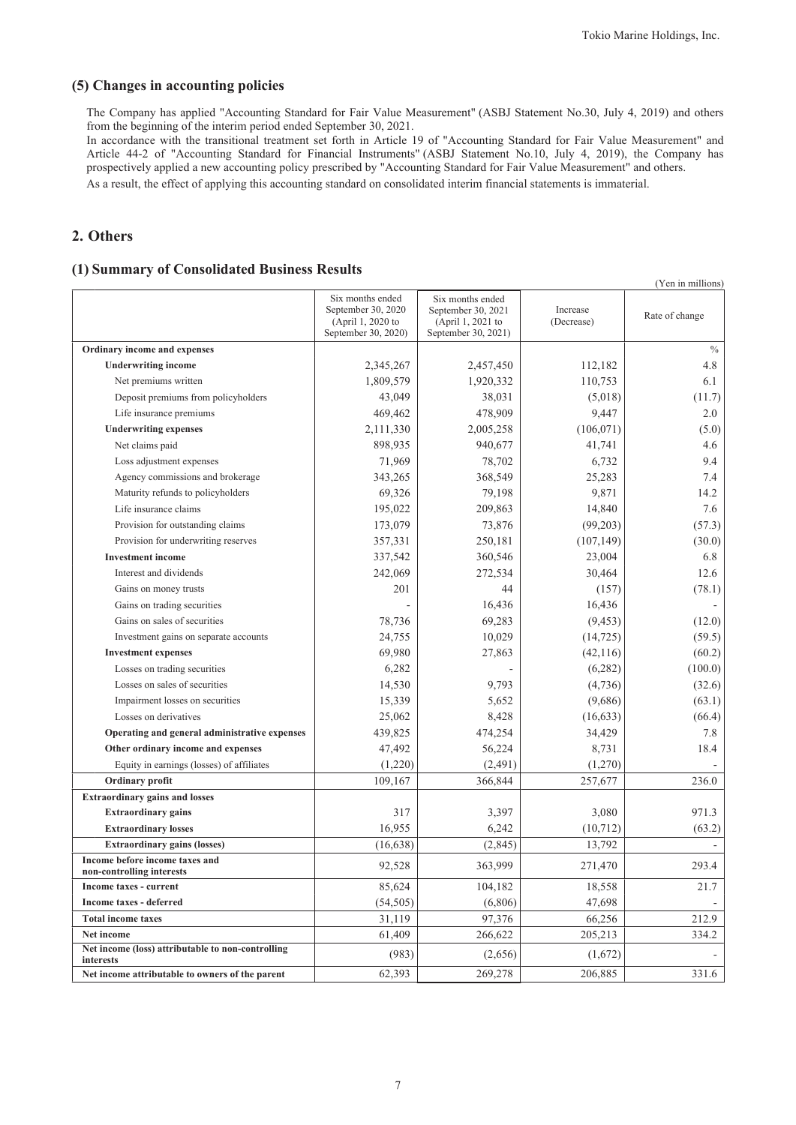(Yen in millions)

### (5) Changes in accounting policies

The Company has applied "Accounting Standard for Fair Value Measurement" (ASBJ Statement No.30, July 4, 2019) and others from the beginning of the interim period ended September 30, 2021.

In accordance with the transitional treatment set forth in Article 19 of "Accounting Standard for Fair Value Measurement" and Article 44-2 of "Accounting Standard for Financial Instruments" (ASBJ Statement No.10, July 4, 2019), the Company has prospectively applied a new accounting policy prescribed by "Accounting Standard for Fair Value Measurement" and others.

As a result, the effect of applying this accounting standard on consolidated interim financial statements is immaterial.

### 2. Others

### (1) Summary of Consolidated Business Results

|                                                                | Six months ended<br>September 30, 2020<br>(April 1, 2020 to<br>September 30, 2020) | Six months ended<br>September 30, 2021<br>(April 1, 2021 to<br>September 30, 2021) | Increase<br>(Decrease) | Rate of change |
|----------------------------------------------------------------|------------------------------------------------------------------------------------|------------------------------------------------------------------------------------|------------------------|----------------|
| Ordinary income and expenses                                   |                                                                                    |                                                                                    |                        | $\%$           |
| <b>Underwriting income</b>                                     | 2,345,267                                                                          | 2,457,450                                                                          | 112,182                | 4.8            |
| Net premiums written                                           | 1,809,579                                                                          | 1,920,332                                                                          | 110,753                | 6.1            |
| Deposit premiums from policyholders                            | 43,049                                                                             | 38,031                                                                             | (5,018)                | (11.7)         |
| Life insurance premiums                                        | 469,462                                                                            | 478,909                                                                            | 9.447                  | 2.0            |
| <b>Underwriting expenses</b>                                   | 2,111,330                                                                          | 2,005,258                                                                          | (106, 071)             | (5.0)          |
| Net claims paid                                                | 898,935                                                                            | 940,677                                                                            | 41,741                 | 4.6            |
| Loss adjustment expenses                                       | 71,969                                                                             | 78,702                                                                             | 6,732                  | 9.4            |
| Agency commissions and brokerage                               | 343,265                                                                            | 368,549                                                                            | 25,283                 | 7.4            |
| Maturity refunds to policyholders                              | 69,326                                                                             | 79,198                                                                             | 9,871                  | 14.2           |
| Life insurance claims                                          | 195,022                                                                            | 209,863                                                                            | 14,840                 | 7.6            |
| Provision for outstanding claims                               | 173,079                                                                            | 73,876                                                                             | (99,203)               | (57.3)         |
| Provision for underwriting reserves                            | 357,331                                                                            | 250,181                                                                            | (107, 149)             | (30.0)         |
| <b>Investment</b> income                                       | 337,542                                                                            | 360,546                                                                            | 23,004                 | 6.8            |
| Interest and dividends                                         | 242,069                                                                            | 272,534                                                                            | 30,464                 | 12.6           |
| Gains on money trusts                                          | 201                                                                                | 44                                                                                 | (157)                  | (78.1)         |
| Gains on trading securities                                    |                                                                                    | 16,436                                                                             | 16,436                 |                |
| Gains on sales of securities                                   | 78,736                                                                             | 69,283                                                                             | (9, 453)               | (12.0)         |
| Investment gains on separate accounts                          | 24,755                                                                             | 10,029                                                                             | (14, 725)              | (59.5)         |
| <b>Investment expenses</b>                                     | 69,980                                                                             | 27,863                                                                             | (42, 116)              | (60.2)         |
| Losses on trading securities                                   | 6,282                                                                              |                                                                                    | (6,282)                | (100.0)        |
| Losses on sales of securities                                  | 14,530                                                                             | 9,793                                                                              | (4,736)                | (32.6)         |
| Impairment losses on securities                                | 15,339                                                                             | 5,652                                                                              | (9,686)                | (63.1)         |
| Losses on derivatives                                          | 25,062                                                                             | 8,428                                                                              | (16, 633)              | (66.4)         |
| Operating and general administrative expenses                  | 439,825                                                                            | 474,254                                                                            | 34,429                 | 7.8            |
| Other ordinary income and expenses                             | 47,492                                                                             | 56,224                                                                             | 8,731                  | 18.4           |
| Equity in earnings (losses) of affiliates                      | (1,220)                                                                            | (2,491)                                                                            | (1,270)                |                |
| Ordinary profit                                                | 109,167                                                                            | 366,844                                                                            | 257,677                | 236.0          |
| <b>Extraordinary gains and losses</b>                          |                                                                                    |                                                                                    |                        |                |
| <b>Extraordinary gains</b>                                     | 317                                                                                | 3,397                                                                              | 3,080                  | 971.3          |
| <b>Extraordinary losses</b>                                    | 16,955                                                                             | 6,242                                                                              | (10, 712)              | (63.2)         |
| <b>Extraordinary gains (losses)</b>                            | (16, 638)                                                                          | (2,845)                                                                            | 13,792                 |                |
| Income before income taxes and<br>non-controlling interests    | 92,528                                                                             | 363,999                                                                            | 271,470                | 293.4          |
| Income taxes - current                                         | 85,624                                                                             | 104,182                                                                            | 18,558                 | 21.7           |
| <b>Income taxes - deferred</b>                                 | (54, 505)                                                                          | (6,806)                                                                            | 47,698                 |                |
| <b>Total income taxes</b>                                      | 31,119                                                                             | 97,376                                                                             | 66,256                 | 212.9          |
| Net income                                                     | 61,409                                                                             | 266,622                                                                            | 205,213                | 334.2          |
| Net income (loss) attributable to non-controlling<br>interests | (983)                                                                              | (2,656)                                                                            | (1,672)                |                |
| Net income attributable to owners of the parent                | 62,393                                                                             | 269,278                                                                            | 206,885                | 331.6          |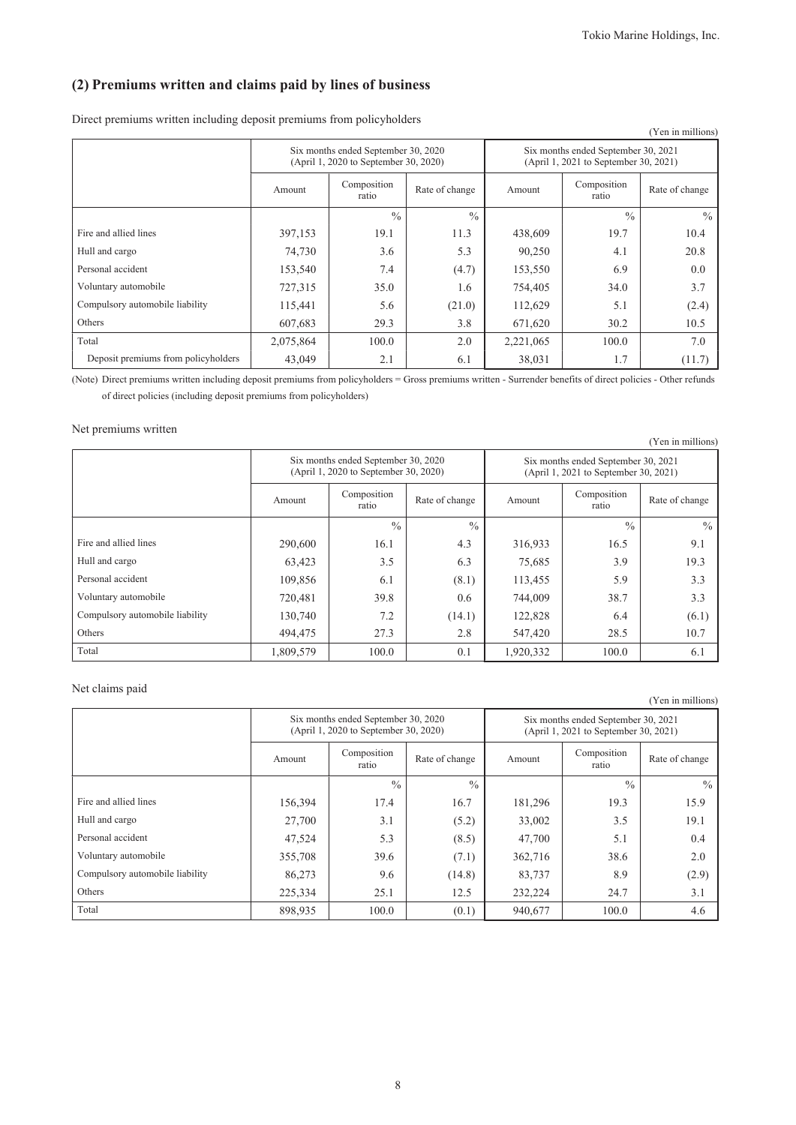# (2) Premiums written and claims paid by lines of business

Direct premiums written including deposit premiums from policyholders

|                                     |           |                                                                              |                |                                                                              |                      | (Yen in millions) |  |
|-------------------------------------|-----------|------------------------------------------------------------------------------|----------------|------------------------------------------------------------------------------|----------------------|-------------------|--|
|                                     |           | Six months ended September 30, 2020<br>(April 1, 2020 to September 30, 2020) |                | Six months ended September 30, 2021<br>(April 1, 2021 to September 30, 2021) |                      |                   |  |
|                                     | Amount    | Composition<br>ratio                                                         | Rate of change | Amount                                                                       | Composition<br>ratio | Rate of change    |  |
|                                     |           | $\frac{0}{0}$                                                                | $\frac{0}{0}$  |                                                                              | $\frac{0}{0}$        | $\frac{0}{0}$     |  |
| Fire and allied lines               | 397,153   | 19.1                                                                         | 11.3           | 438,609                                                                      | 19.7                 | 10.4              |  |
| Hull and cargo                      | 74,730    | 3.6                                                                          | 5.3            | 90,250                                                                       | 4.1                  | 20.8              |  |
| Personal accident                   | 153,540   | 7.4                                                                          | (4.7)          | 153,550                                                                      | 6.9                  | 0.0               |  |
| Voluntary automobile                | 727,315   | 35.0                                                                         | 1.6            | 754,405                                                                      | 34.0                 | 3.7               |  |
| Compulsory automobile liability     | 115,441   | 5.6                                                                          | (21.0)         | 112,629                                                                      | 5.1                  | (2.4)             |  |
| Others                              | 607,683   | 29.3                                                                         | 3.8            | 671,620                                                                      | 30.2                 | 10.5              |  |
| Total                               | 2,075,864 | 100.0                                                                        | 2.0            | 2,221,065                                                                    | 100.0                | 7.0               |  |
| Deposit premiums from policyholders | 43,049    | 2.1                                                                          | 6.1            | 38,031                                                                       | 1.7                  | (11.7)            |  |

(Note) Direct premiums written including deposit premiums from policyholders = Gross premiums written - Surrender benefits of direct policies - Other refunds of direct policies (including deposit premiums from policyholders)

### Net premiums written

|                                 |           |                                                                              |                |                                                                              |                      | (Yen in millions) |  |
|---------------------------------|-----------|------------------------------------------------------------------------------|----------------|------------------------------------------------------------------------------|----------------------|-------------------|--|
|                                 |           | Six months ended September 30, 2020<br>(April 1, 2020 to September 30, 2020) |                | Six months ended September 30, 2021<br>(April 1, 2021 to September 30, 2021) |                      |                   |  |
|                                 | Amount    | Composition<br>ratio                                                         | Rate of change | Amount                                                                       | Composition<br>ratio | Rate of change    |  |
|                                 |           | $\frac{0}{0}$                                                                | $\frac{0}{0}$  |                                                                              | $\frac{0}{0}$        | $\frac{0}{0}$     |  |
| Fire and allied lines           | 290,600   | 16.1                                                                         | 4.3            | 316,933                                                                      | 16.5                 | 9.1               |  |
| Hull and cargo                  | 63,423    | 3.5                                                                          | 6.3            | 75,685                                                                       | 3.9                  | 19.3              |  |
| Personal accident               | 109,856   | 6.1                                                                          | (8.1)          | 113,455                                                                      | 5.9                  | 3.3               |  |
| Voluntary automobile            | 720,481   | 39.8                                                                         | 0.6            | 744,009                                                                      | 38.7                 | 3.3               |  |
| Compulsory automobile liability | 130,740   | 7.2                                                                          | (14.1)         | 122,828                                                                      | 6.4                  | (6.1)             |  |
| Others                          | 494,475   | 27.3                                                                         | 2.8            | 547,420                                                                      | 28.5                 | 10.7              |  |
| Total                           | 1,809,579 | 100.0                                                                        | 0.1            | 1,920,332                                                                    | 100.0                | 6.1               |  |

### Net claims paid

|                                 |         | Six months ended September 30, 2020<br>(April 1, 2020 to September 30, 2020) |                | Six months ended September 30, 2021<br>(April 1, 2021 to September 30, 2021) |                      |                |  |
|---------------------------------|---------|------------------------------------------------------------------------------|----------------|------------------------------------------------------------------------------|----------------------|----------------|--|
|                                 | Amount  | Composition<br>ratio                                                         | Rate of change | Amount                                                                       | Composition<br>ratio | Rate of change |  |
|                                 |         | $\frac{0}{0}$                                                                | $\frac{0}{0}$  |                                                                              | $\frac{0}{0}$        | $\frac{0}{0}$  |  |
| Fire and allied lines           | 156,394 | 17.4                                                                         | 16.7           | 181,296                                                                      | 19.3                 | 15.9           |  |
| Hull and cargo                  | 27,700  | 3.1                                                                          | (5.2)          | 33,002                                                                       | 3.5                  | 19.1           |  |
| Personal accident               | 47,524  | 5.3                                                                          | (8.5)          | 47,700                                                                       | 5.1                  | 0.4            |  |
| Voluntary automobile            | 355,708 | 39.6                                                                         | (7.1)          | 362,716                                                                      | 38.6                 | 2.0            |  |
| Compulsory automobile liability | 86,273  | 9.6                                                                          | (14.8)         | 83,737                                                                       | 8.9                  | (2.9)          |  |
| Others                          | 225,334 | 25.1                                                                         | 12.5           | 232,224                                                                      | 24.7                 | 3.1            |  |
| Total                           | 898,935 | 100.0                                                                        | (0.1)          | 940,677                                                                      | 100.0                | 4.6            |  |

(Yen in millions)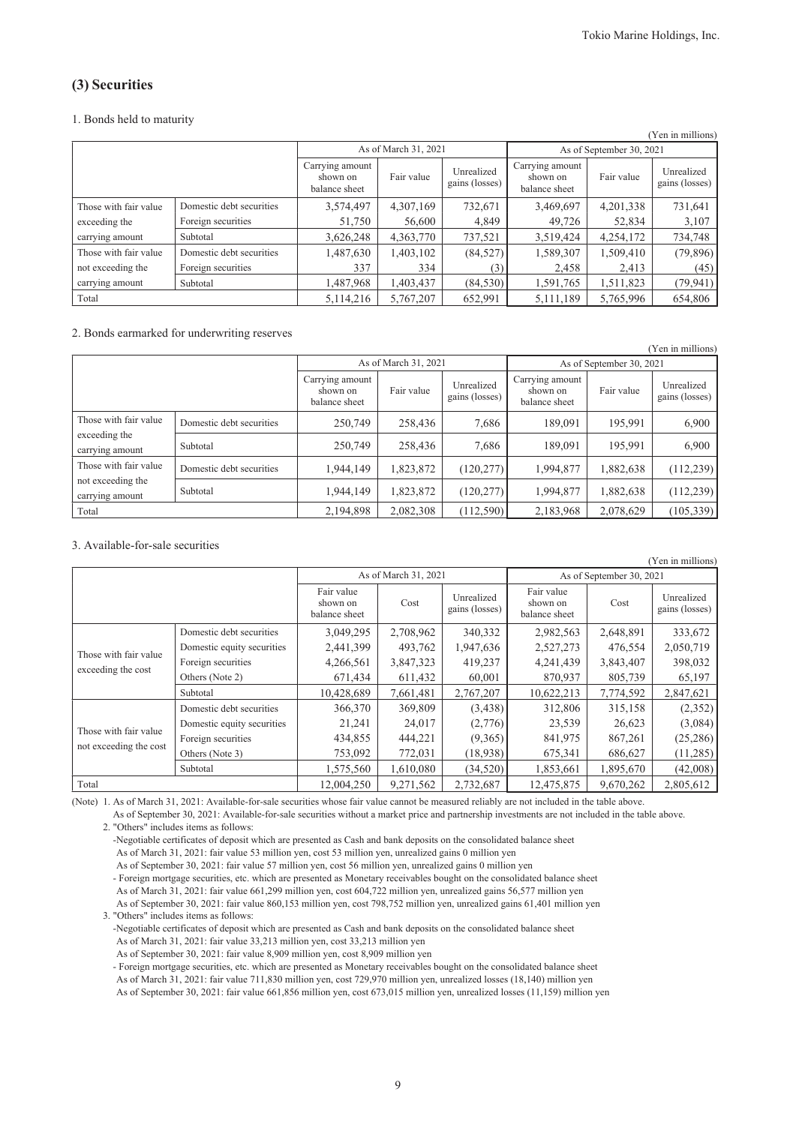## (3) Securities

#### 1. Bonds held to maturity

|                       |                          |                                              |                      |                              |                                              |                          | (Yen in millions)            |  |  |
|-----------------------|--------------------------|----------------------------------------------|----------------------|------------------------------|----------------------------------------------|--------------------------|------------------------------|--|--|
|                       |                          |                                              | As of March 31, 2021 |                              |                                              | As of September 30, 2021 |                              |  |  |
|                       |                          | Carrying amount<br>shown on<br>balance sheet | Fair value           | Unrealized<br>gains (losses) | Carrying amount<br>shown on<br>balance sheet | Fair value               | Unrealized<br>gains (losses) |  |  |
| Those with fair value | Domestic debt securities | 3,574,497                                    | 4,307,169            | 732,671                      | 3,469,697                                    | 4,201,338                | 731,641                      |  |  |
| exceeding the         | Foreign securities       | 51,750                                       | 56,600               | 4,849                        | 49,726                                       | 52,834                   | 3,107                        |  |  |
| carrying amount       | Subtotal                 | 3,626,248                                    | 4,363,770            | 737,521                      | 3,519,424                                    | 4,254,172                | 734,748                      |  |  |
| Those with fair value | Domestic debt securities | 1,487,630                                    | 1,403,102            | (84, 527)                    | 1,589,307                                    | 1,509,410                | (79,896)                     |  |  |
| not exceeding the     | Foreign securities       | 337                                          | 334                  | 3)                           | 2,458                                        | 2,413                    | (45)                         |  |  |
| carrying amount       | Subtotal                 | 1,487,968                                    | 1,403,437            | (84, 530)                    | 1,591,765                                    | 1,511,823                | (79, 941)                    |  |  |
| Total                 |                          | 5, 114, 216                                  | 5,767,207            | 652,991                      | 5, 111, 189                                  | 5,765,996                | 654,806                      |  |  |

#### 2. Bonds earmarked for underwriting reserves

|                                      |                          |                                              |                      |                              |                                              |                          | (Yen in millions)            |
|--------------------------------------|--------------------------|----------------------------------------------|----------------------|------------------------------|----------------------------------------------|--------------------------|------------------------------|
|                                      |                          |                                              | As of March 31, 2021 |                              |                                              | As of September 30, 2021 |                              |
|                                      |                          | Carrying amount<br>shown on<br>balance sheet | Fair value           | Unrealized<br>gains (losses) | Carrying amount<br>shown on<br>balance sheet | Fair value               | Unrealized<br>gains (losses) |
| Those with fair value                | Domestic debt securities | 250,749                                      | 258,436              | 7,686                        | 189,091                                      | 195,991                  | 6,900                        |
| exceeding the<br>carrying amount     | Subtotal                 | 250,749                                      | 258,436              | 7,686                        | 189,091                                      | 195.991                  | 6,900                        |
| Those with fair value                | Domestic debt securities | 1,944,149                                    | 1,823,872            | (120, 277)                   | 1,994,877                                    | 1,882,638                | (112, 239)                   |
| not exceeding the<br>carrying amount | Subtotal                 | 1,944,149                                    | 1,823,872            | (120, 277)                   | 1,994,877                                    | 1,882,638                | (112, 239)                   |
| Total                                |                          | 2,194,898                                    | 2,082,308            | (112, 590)                   | 2,183,968                                    | 2,078,629                | (105, 339)                   |

### 3. Available-for-sale securities

|                                             |                            |                                         |                      |                              |                                         |           | (Yen in millions)            |  |
|---------------------------------------------|----------------------------|-----------------------------------------|----------------------|------------------------------|-----------------------------------------|-----------|------------------------------|--|
|                                             |                            |                                         | As of March 31, 2021 |                              | As of September 30, 2021                |           |                              |  |
|                                             |                            | Fair value<br>shown on<br>balance sheet | Cost                 | Unrealized<br>gains (losses) | Fair value<br>shown on<br>balance sheet | Cost      | Unrealized<br>gains (losses) |  |
|                                             | Domestic debt securities   | 3,049,295                               | 2,708,962            | 340,332                      | 2,982,563                               | 2,648,891 | 333,672                      |  |
|                                             | Domestic equity securities | 2,441,399                               | 493,762              | 1,947,636                    | 2,527,273                               | 476,554   | 2,050,719                    |  |
| Those with fair value<br>exceeding the cost | Foreign securities         | 4,266,561                               | 3,847,323            | 419,237                      | 4,241,439                               | 3,843,407 | 398,032                      |  |
|                                             | Others (Note 2)            | 671,434                                 | 611,432              | 60,001                       | 870,937                                 | 805,739   | 65,197                       |  |
|                                             | Subtotal                   | 10,428,689                              | 7,661,481            | 2,767,207                    | 10,622,213                              | 7,774,592 | 2,847,621                    |  |
|                                             | Domestic debt securities   | 366,370                                 | 369,809              | (3,438)                      | 312,806                                 | 315,158   | (2,352)                      |  |
|                                             | Domestic equity securities | 21,241                                  | 24,017               | (2,776)                      | 23,539                                  | 26,623    | (3,084)                      |  |
| Those with fair value                       | Foreign securities         | 434,855                                 | 444,221              | (9,365)                      | 841,975                                 | 867,261   | (25,286)                     |  |
| not exceeding the cost                      | Others (Note 3)            | 753,092                                 | 772,031              | (18,938)                     | 675,341                                 | 686,627   | (11,285)                     |  |
|                                             | Subtotal                   | 1,575,560                               | 1,610,080            | (34,520)                     | 1,853,661                               | 1,895,670 | (42,008)                     |  |
| Total                                       |                            | 12,004,250                              | 9,271,562            | 2,732,687                    | 12,475,875                              | 9,670,262 | 2,805,612                    |  |

(Note) 1. As of March 31, 2021: Available-for-sale securities whose fair value cannot be measured reliably are not included in the table above.

As of September 30, 2021: Available-for-sale securities without a market price and partnership investments are not included in the table above. 2. "Others" includes items as follows:

-Negotiable certificates of deposit which are presented as Cash and bank deposits on the consolidated balance sheet As of March 31, 2021: fair value 53 million yen, cost 53 million yen, unrealized gains 0 million yen As of September 30, 2021: fair value 57 million yen, cost 56 million yen, unrealized gains 0 million yen

- Foreign mortgage securities, etc. which are presented as Monetary receivables bought on the consolidated balance sheet As of March 31, 2021: fair value 661,299 million yen, cost 604,722 million yen, unrealized gains 56,577 million yen As of September 30, 2021: fair value 860,153 million yen, cost 798,752 million yen, unrealized gains 61,401 million yen

3. "Others" includes items as follows: -Negotiable certificates of deposit which are presented as Cash and bank deposits on the consolidated balance sheet As of March 31, 2021: fair value 33,213 million yen, cost 33,213 million yen

As of September 30, 2021: fair value 8,909 million yen, cost 8,909 million yen

- Foreign mortgage securities, etc. which are presented as Monetary receivables bought on the consolidated balance sheet As of March 31, 2021: fair value 711,830 million yen, cost 729,970 million yen, unrealized losses (18,140) million yen

As of September 30, 2021: fair value 661,856 million yen, cost 673,015 million yen, unrealized losses (11,159) million yen